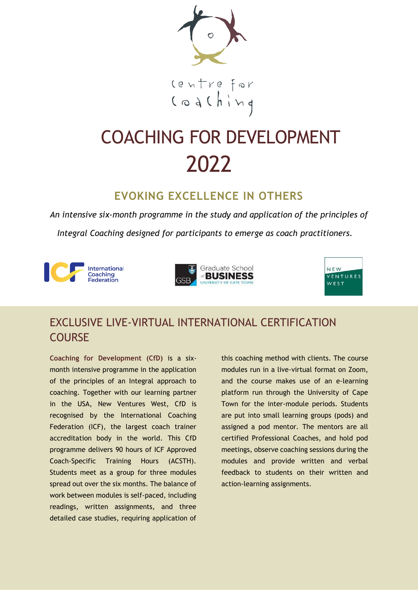

# COACHING FOR DEVELOPMENT 2022

# **EVOKING EXCELLENCE IN OTHERS**

*An intensive six-month programme in the study and application of the principles of* 

*Integral Coaching designed for participants to emerge as coach practitioners.*







# EXCLUSIVE LIVE-VIRTUAL INTERNATIONAL CERTIFICATION COURSE

**Coaching for Development (CfD)** is a sixmonth intensive programme in the application of the principles of an Integral approach to coaching. Together with our learning partner in the USA, New Ventures West, CfD is recognised by the International Coaching Federation (ICF), the largest coach trainer accreditation body in the world. This CfD programme delivers 90 hours of ICF Approved Coach-Specific Training Hours (ACSTH). Students meet as a group for three modules spread out over the six months. The balance of work between modules is self-paced, including readings, written assignments, and three detailed case studies, requiring application of this coaching method with clients. The course modules run in a live-virtual format on Zoom, and the course makes use of an e-learning platform run through the University of Cape Town for the inter-module periods. Students are put into small learning groups (pods) and assigned a pod mentor. The mentors are all certified Professional Coaches, and hold pod meetings, observe coaching sessions during the modules and provide written and verbal feedback to students on their written and action-learning assignments.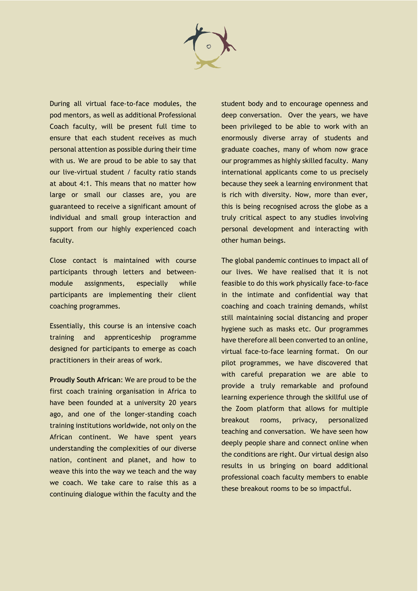

During all virtual face-to-face modules, the pod mentors, as well as additional Professional Coach faculty, will be present full time to ensure that each student receives as much personal attention as possible during their time with us. We are proud to be able to say that our live-virtual student / faculty ratio stands at about 4:1. This means that no matter how large or small our classes are, you are guaranteed to receive a significant amount of individual and small group interaction and support from our highly experienced coach faculty.

Close contact is maintained with course participants through letters and betweenmodule assignments, especially while participants are implementing their client coaching programmes.

Essentially, this course is an intensive coach training and apprenticeship programme designed for participants to emerge as coach practitioners in their areas of work.

**Proudly South African**: We are proud to be the first coach training organisation in Africa to have been founded at a university 20 years ago, and one of the longer-standing coach training institutions worldwide, not only on the African continent. We have spent years understanding the complexities of our diverse nation, continent and planet, and how to weave this into the way we teach and the way we coach. We take care to raise this as a continuing dialogue within the faculty and the

student body and to encourage openness and deep conversation. Over the years, we have been privileged to be able to work with an enormously diverse array of students and graduate coaches, many of whom now grace our programmes as highly skilled faculty. Many international applicants come to us precisely because they seek a learning environment that is rich with diversity. Now, more than ever, this is being recognised across the globe as a truly critical aspect to any studies involving personal development and interacting with other human beings.

The global pandemic continues to impact all of our lives. We have realised that it is not feasible to do this work physically face-to-face in the intimate and confidential way that coaching and coach training demands, whilst still maintaining social distancing and proper hygiene such as masks etc. Our programmes have therefore all been converted to an online, virtual face-to-face learning format. On our pilot programmes, we have discovered that with careful preparation we are able to provide a truly remarkable and profound learning experience through the skillful use of the Zoom platform that allows for multiple breakout rooms, privacy, personalized teaching and conversation. We have seen how deeply people share and connect online when the conditions are right. Our virtual design also results in us bringing on board additional professional coach faculty members to enable these breakout rooms to be so impactful.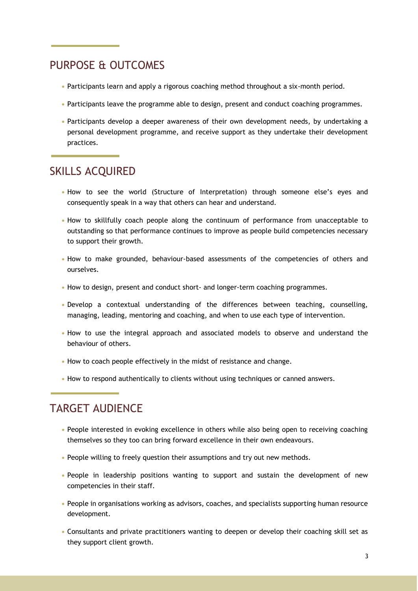### PURPOSE & OUTCOMES

- **•** Participants learn and apply a rigorous coaching method throughout a six-month period.
- Participants leave the programme able to design, present and conduct coaching programmes.
- **•** Participants develop a deeper awareness of their own development needs, by undertaking a personal development programme, and receive support as they undertake their development practices.

### SKILLS ACQUIRED

- **•** How to see the world (Structure of Interpretation) through someone else's eyes and consequently speak in a way that others can hear and understand.
- **•** How to skillfully coach people along the continuum of performance from unacceptable to outstanding so that performance continues to improve as people build competencies necessary to support their growth.
- **•** How to make grounded, behaviour-based assessments of the competencies of others and ourselves.
- **•** How to design, present and conduct short- and longer-term coaching programmes.
- **•** Develop a contextual understanding of the differences between teaching, counselling, managing, leading, mentoring and coaching, and when to use each type of intervention.
- **•** How to use the integral approach and associated models to observe and understand the behaviour of others.
- **•** How to coach people effectively in the midst of resistance and change.
- **•** How to respond authentically to clients without using techniques or canned answers.

### TARGET AUDIENCE

- People interested in evoking excellence in others while also being open to receiving coaching themselves so they too can bring forward excellence in their own endeavours.
- **•** People willing to freely question their assumptions and try out new methods.
- **•** People in leadership positions wanting to support and sustain the development of new competencies in their staff.
- **•** People in organisations working as advisors, coaches, and specialists supporting human resource development.
- **•** Consultants and private practitioners wanting to deepen or develop their coaching skill set as they support client growth.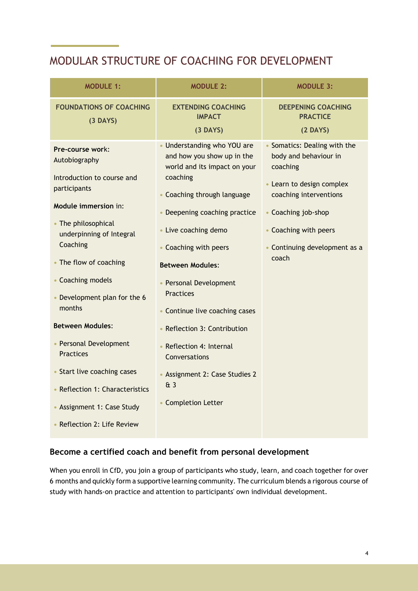## MODULAR STRUCTURE OF COACHING FOR DEVELOPMENT

| <b>MODULE 1:</b>                                                                                                                                                                                                                                      | <b>MODULE 2:</b>                                                                                                                                                                                                                                                                                | <b>MODULE 3:</b>                                                                                                                                                                                                   |
|-------------------------------------------------------------------------------------------------------------------------------------------------------------------------------------------------------------------------------------------------------|-------------------------------------------------------------------------------------------------------------------------------------------------------------------------------------------------------------------------------------------------------------------------------------------------|--------------------------------------------------------------------------------------------------------------------------------------------------------------------------------------------------------------------|
| <b>FOUNDATIONS OF COACHING</b><br>$(3$ DAYS)                                                                                                                                                                                                          | <b>EXTENDING COACHING</b><br><b>IMPACT</b><br>$(3$ DAYS)                                                                                                                                                                                                                                        | <b>DEEPENING COACHING</b><br><b>PRACTICE</b><br>$(2$ DAYS)                                                                                                                                                         |
| Pre-course work:<br>Autobiography<br>Introduction to course and<br>participants<br>Module immersion in:<br>• The philosophical<br>underpinning of Integral<br>Coaching<br>• The flow of coaching<br>• Coaching models<br>• Development plan for the 6 | • Understanding who YOU are<br>and how you show up in the<br>world and its impact on your<br>coaching<br>• Coaching through language<br>• Deepening coaching practice<br>• Live coaching demo<br>• Coaching with peers<br><b>Between Modules:</b><br>• Personal Development<br><b>Practices</b> | • Somatics: Dealing with the<br>body and behaviour in<br>coaching<br>• Learn to design complex<br>coaching interventions<br>• Coaching job-shop<br>• Coaching with peers<br>• Continuing development as a<br>coach |
| months<br><b>Between Modules:</b>                                                                                                                                                                                                                     | • Continue live coaching cases<br>• Reflection 3: Contribution                                                                                                                                                                                                                                  |                                                                                                                                                                                                                    |
| • Personal Development<br><b>Practices</b>                                                                                                                                                                                                            | • Reflection 4: Internal<br>Conversations                                                                                                                                                                                                                                                       |                                                                                                                                                                                                                    |
| • Start live coaching cases<br>• Reflection 1: Characteristics<br>• Assignment 1: Case Study<br>• Reflection 2: Life Review                                                                                                                           | • Assignment 2: Case Studies 2<br>43<br>• Completion Letter                                                                                                                                                                                                                                     |                                                                                                                                                                                                                    |
|                                                                                                                                                                                                                                                       |                                                                                                                                                                                                                                                                                                 |                                                                                                                                                                                                                    |

#### **Become a certified coach and benefit from personal development**

When you enroll in CfD, you join a group of participants who study, learn, and coach together for over 6 months and quickly form a supportive learning community. The curriculum blends a rigorous course of study with hands-on practice and attention to participants' own individual development.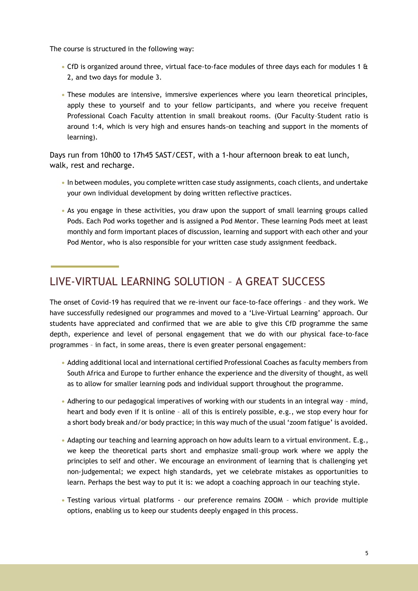The course is structured in the following way:

- **•** CfD is organized around three, virtual face-to-face modules of three days each for modules 1 & 2, and two days for module 3.
- **•** These modules are intensive, immersive experiences where you learn theoretical principles, apply these to yourself and to your fellow participants, and where you receive frequent Professional Coach Faculty attention in small breakout rooms. (Our Faculty–Student ratio is around 1:4, which is very high and ensures hands-on teaching and support in the moments of learning).

Days run from 10h00 to 17h45 SAST/CEST, with a 1-hour afternoon break to eat lunch, walk, rest and recharge.

- **•** In between modules, you complete written case study assignments, coach clients, and undertake your own individual development by doing written reflective practices.
- **•** As you engage in these activities, you draw upon the support of small learning groups called Pods. Each Pod works together and is assigned a Pod Mentor. These learning Pods meet at least monthly and form important places of discussion, learning and support with each other and your Pod Mentor, who is also responsible for your written case study assignment feedback.

### LIVE-VIRTUAL LEARNING SOLUTION – A GREAT SUCCESS

The onset of Covid-19 has required that we re-invent our face-to-face offerings – and they work. We have successfully redesigned our programmes and moved to a 'Live-Virtual Learning' approach. Our students have appreciated and confirmed that we are able to give this CfD programme the same depth, experience and level of personal engagement that we do with our physical face-to-face programmes – in fact, in some areas, there is even greater personal engagement:

- **•** Adding additional local and international certified Professional Coaches as faculty members from South Africa and Europe to further enhance the experience and the diversity of thought, as well as to allow for smaller learning pods and individual support throughout the programme.
- **•** Adhering to our pedagogical imperatives of working with our students in an integral way mind, heart and body even if it is online – all of this is entirely possible, e.g., we stop every hour for a short body break and/or body practice; in this way much of the usual 'zoom fatigue' is avoided.
- **•** Adapting our teaching and learning approach on how adults learn to a virtual environment. E.g., we keep the theoretical parts short and emphasize small-group work where we apply the principles to self and other. We encourage an environment of learning that is challenging yet non-judgemental; we expect high standards, yet we celebrate mistakes as opportunities to learn. Perhaps the best way to put it is: we adopt a coaching approach in our teaching style.
- **•** Testing various virtual platforms our preference remains ZOOM which provide multiple options, enabling us to keep our students deeply engaged in this process.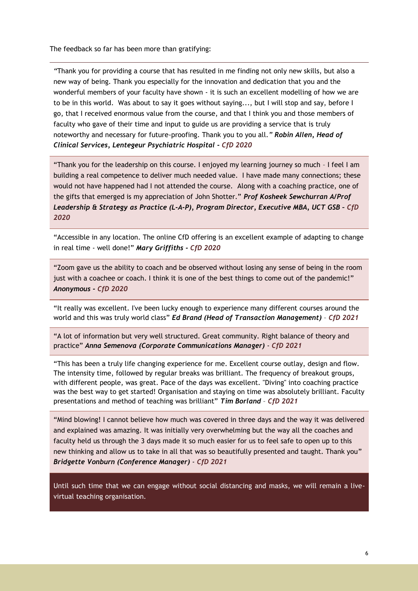The feedback so far has been more than gratifying:

*"*Thank you for providing a course that has resulted in me finding not only new skills, but also a new way of being. Thank you especially for the innovation and dedication that you and the wonderful members of your faculty have shown - it is such an excellent modelling of how we are to be in this world. Was about to say it goes without saying..., but I will stop and say, before I go, that I received enormous value from the course, and that I think you and those members of faculty who gave of their time and input to guide us are providing a service that is truly noteworthy and necessary for future-proofing. Thank you to you all.*" Robin Allen, Head of Clinical Services, Lentegeur Psychiatric Hospital - CfD 2020* 

"Thank you for the leadership on this course. I enjoyed my learning journey so much – I feel I am building a real competence to deliver much needed value. I have made many connections; these would not have happened had I not attended the course. Along with a coaching practice, one of the gifts that emerged is my appreciation of John Shotter." *Prof Kosheek Sewchurran A/Prof*  Leadership & Strategy as Practice (L-A-P), Program Director, Executive MBA, UCT GSB - CfD *2020*

"Accessible in any location. The online CfD offering is an excellent example of adapting to change in real time - well done!" *Mary Griffiths - CfD 2020*

"Zoom gave us the ability to coach and be observed without losing any sense of being in the room just with a coachee or coach. I think it is one of the best things to come out of the pandemic!" *Anonymous - CfD 2020*

"It really was excellent. I've been lucky enough to experience many different courses around the world and this was truly world class" *Ed Brand (Head of Transaction Management)* – *CfD 2021*

"A lot of information but very well structured. Great community. Right balance of theory and practice" *Anna Semenova (Corporate Communications Manager)* - *CfD 2021*

"This has been a truly life changing experience for me. Excellent course outlay, design and flow. The intensity time, followed by regular breaks was brilliant. The frequency of breakout groups, with different people, was great. Pace of the days was excellent. "Diving" into coaching practice was the best way to get started! Organisation and staying on time was absolutely brilliant. Faculty presentations and method of teaching was brilliant" *Tim Borland* – *CfD 2021*

"Mind blowing! I cannot believe how much was covered in three days and the way it was delivered and explained was amazing. It was initially very overwhelming but the way all the coaches and faculty held us through the 3 days made it so much easier for us to feel safe to open up to this new thinking and allow us to take in all that was so beautifully presented and taught. Thank you" *Bridgette Vonburn (Conference Manager)* - *CfD 2021*

Until such time that we can engage without social distancing and masks, we will remain a livevirtual teaching organisation.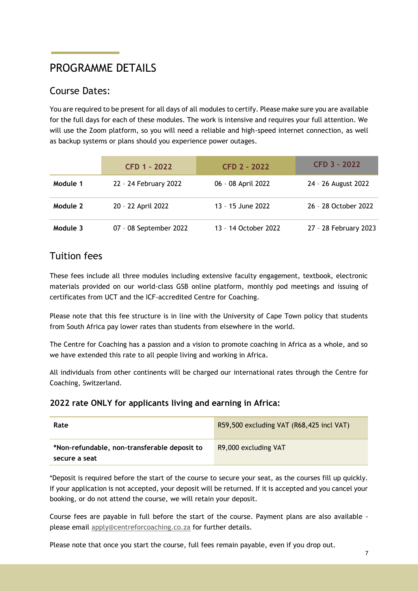# PROGRAMME DETAILS

### Course Dates:

You are required to be present for all days of all modules to certify. Please make sure you are available for the full days for each of these modules. The work is intensive and requires your full attention. We will use the Zoom platform, so you will need a reliable and high-speed internet connection, as well as backup systems or plans should you experience power outages.

|          | <b>CFD 1 - 2022</b>    | <b>CFD 2 - 2022</b>  | CFD 3 - 2022          |
|----------|------------------------|----------------------|-----------------------|
| Module 1 | 22 - 24 February 2022  | 06 - 08 April 2022   | 24 - 26 August 2022   |
| Module 2 | 20 - 22 April 2022     | 13 - 15 June 2022    | 26 - 28 October 2022  |
| Module 3 | 07 - 08 September 2022 | 13 - 14 October 2022 | 27 - 28 February 2023 |

### Tuition fees

These fees include all three modules including extensive faculty engagement, textbook, electronic materials provided on our world-class GSB online platform, monthly pod meetings and issuing of certificates from UCT and the ICF-accredited Centre for Coaching.

Please note that this fee structure is in line with the University of Cape Town policy that students from South Africa pay lower rates than students from elsewhere in the world.

The Centre for Coaching has a passion and a vision to promote coaching in Africa as a whole, and so we have extended this rate to all people living and working in Africa.

All individuals from other continents will be charged our international rates through the Centre for Coaching, Switzerland.

#### **2022 rate ONLY for applicants living and earning in Africa:**

| Rate                                                          | R59,500 excluding VAT (R68,425 incl VAT) |
|---------------------------------------------------------------|------------------------------------------|
| *Non-refundable, non-transferable deposit to<br>secure a seat | R9,000 excluding VAT                     |

\*Deposit is required before the start of the course to secure your seat, as the courses fill up quickly. If your application is not accepted, your deposit will be returned. If it is accepted and you cancel your booking, or do not attend the course, we will retain your deposit.

Course fees are payable in full before the start of the course. Payment plans are also available please email [apply@centreforcoaching.co.za](mailto:apply@centreforcoaching.co.za) for further details.

Please note that once you start the course, full fees remain payable, even if you drop out.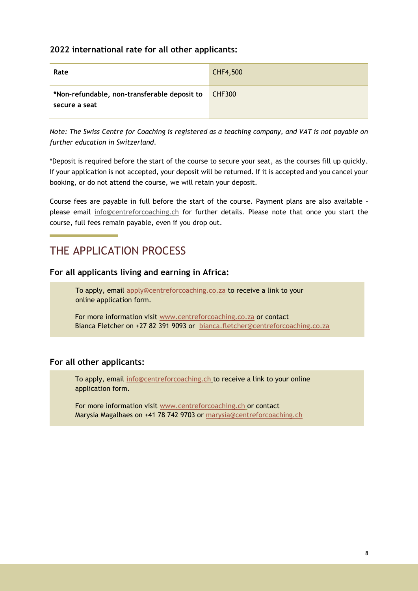#### **2022 international rate for all other applicants:**

| Rate                                                          | CHF4,500      |
|---------------------------------------------------------------|---------------|
| *Non-refundable, non-transferable deposit to<br>secure a seat | <b>CHF300</b> |

*Note: The Swiss Centre for Coaching is registered as a teaching company, and VAT is not payable on further education in Switzerland.* 

\*Deposit is required before the start of the course to secure your seat, as the courses fill up quickly. If your application is not accepted, your deposit will be returned. If it is accepted and you cancel your booking, or do not attend the course, we will retain your deposit.

Course fees are payable in full before the start of the course. Payment plans are also available please email [info@centreforcoaching.ch](mailto:info@centreforcoaching.ch) for further details. Please note that once you start the course, full fees remain payable, even if you drop out.

### THE APPLICATION PROCESS

#### **For all applicants living and earning in Africa:**

To apply, email [apply@centreforcoaching.co.za](mailto:apply@centreforcoaching.co.za) to receive a link to your online application form.

For more information visit [www.centreforcoaching.co.za](https://centreforcoaching.co.za/programmes/open-courses/coaching-for-development/) or contact Bianca Fletcher on +27 82 391 9093 or [bianca.fletcher@centreforcoaching.co.za](mailto:nico.klue@centreforcoaching.co.za)

#### **For all other applicants:**

To apply, email [info@centreforcoaching.ch t](mailto:info@centreforcoaching.ch)o receive a link to your online application form.

For more information visit [www.centreforcoaching.ch](https://centreforcoaching.ch/course/cfd/) or contact Marysia Magalhaes on +41 78 742 9703 or [marysia@centreforcoaching.ch](mailto:marysia@centreforcoaching.ch)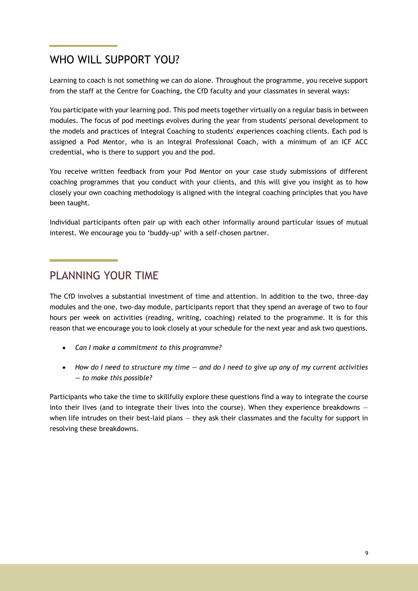### WHO WILL SUPPORT YOU?

Learning to coach is not something we can do alone. Throughout the programme, you receive support from the staff at the Centre for Coaching, the CfD faculty and your classmates in several ways:

You participate with your learning pod. This pod meets together virtually on a regular basis in between modules. The focus of pod meetings evolves during the year from students' personal development to the models and practices of Integral Coaching to students' experiences coaching clients. Each pod is assigned a Pod Mentor, who is an Integral Professional Coach, with a minimum of an ICF ACC credential, who is there to support you and the pod.

You receive written feedback from your Pod Mentor on your case study submissions of different coaching programmes that you conduct with your clients, and this will give you insight as to how closely your own coaching methodology is aligned with the integral coaching principles that you have been taught.

Individual participants often pair up with each other informally around particular issues of mutual interest. We encourage you to 'buddy-up' with a self-chosen partner.

### PLANNING YOUR TIME

The CfD involves a substantial investment of time and attention. In addition to the two, three-day modules and the one, two-day module, participants report that they spend an average of two to four hours per week on activities (reading, writing, coaching) related to the programme. It is for this reason that we encourage you to look closely at your schedule for the next year and ask two questions.

- *Can I make a commitment to this programme?*
- *How do I need to structure my time — and do I need to give up any of my current activities — to make this possible?*

Participants who take the time to skillfully explore these questions find a way to integrate the course into their lives (and to integrate their lives into the course). When they experience breakdowns  $$ when life intrudes on their best-laid plans — they ask their classmates and the faculty for support in resolving these breakdowns.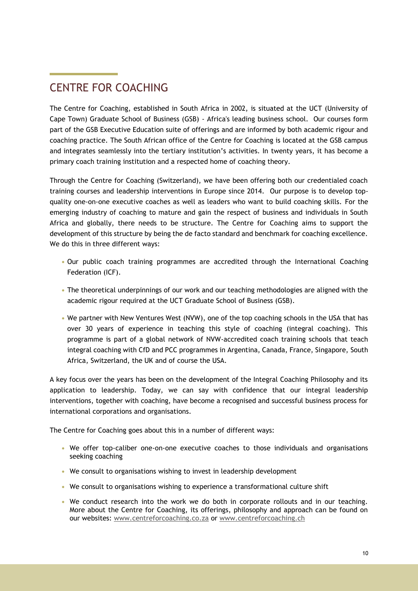# CENTRE FOR COACHING

The Centre for Coaching, established in South Africa in 2002, is situated at the UCT (University of Cape Town) Graduate School of Business (GSB) - Africa's leading business school. Our courses form part of the GSB Executive Education suite of offerings and are informed by both academic rigour and coaching practice. The South African office of the Centre for Coaching is located at the GSB campus and integrates seamlessly into the tertiary institution's activities. In twenty years, it has become a primary coach training institution and a respected home of coaching theory.

Through the Centre for Coaching (Switzerland), we have been offering both our credentialed coach training courses and leadership interventions in Europe since 2014. Our purpose is to develop topquality one-on-one executive coaches as well as leaders who want to build coaching skills. For the emerging industry of coaching to mature and gain the respect of business and individuals in South Africa and globally, there needs to be structure. The Centre for Coaching aims to support the development of this structure by being the de facto standard and benchmark for coaching excellence. We do this in three different ways:

- **•** Our public coach training programmes are accredited through the International Coaching Federation (ICF).
- **•** The theoretical underpinnings of our work and our teaching methodologies are aligned with the academic rigour required at the UCT Graduate School of Business (GSB).
- **•** We partner with New Ventures West (NVW), one of the top coaching schools in the USA that has over 30 years of experience in teaching this style of coaching (integral coaching). This programme is part of a global network of NVW-accredited coach training schools that teach integral coaching with CfD and PCC programmes in Argentina, Canada, France, Singapore, South Africa, Switzerland, the UK and of course the USA.

A key focus over the years has been on the development of the Integral Coaching Philosophy and its application to leadership. Today, we can say with confidence that our integral leadership interventions, together with coaching, have become a recognised and successful business process for international corporations and organisations.

The Centre for Coaching goes about this in a number of different ways:

- **•** We offer top-caliber one-on-one executive coaches to those individuals and organisations seeking coaching
- **•** We consult to organisations wishing to invest in leadership development
- **•** We consult to organisations wishing to experience a transformational culture shift
- **•** We conduct research into the work we do both in corporate rollouts and in our teaching. More about the Centre for Coaching, its offerings, philosophy and approach can be found on our websites: www.centreforcoaching.co.za or [www.centreforcoaching.ch](http://www.centreforcoaching.ch/)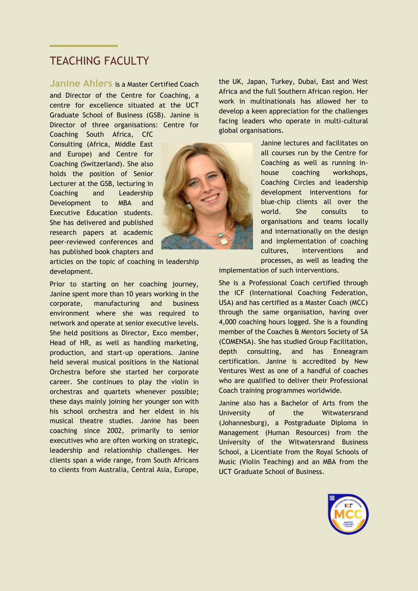### **TEACHING FACULTY**

**Janine Ahlers** is a Master Certified Coach and Director of the Centre for Coaching, a centre for excellence situated at the UCT Graduate School of Business (GSB). Janine is Director of three organisations: Centre for

Coaching South Africa, CfC Consulting (Africa, Middle East and Europe) and Centre for Coaching (Switzerland). She also holds the position of Senior Lecturer at the GSB, lecturing in Coaching and Leadership Development to MBA and Executive Education students. She has delivered and published research papers at academic peer-reviewed conferences and has published book chapters and



articles on the topic of coaching in leadership development.

Prior to starting on her coaching journey, Janine spent more than 10 years working in the corporate, manufacturing and business environment where she was required to network and operate at senior executive levels. She held positions as Director, Exco member, Head of HR, as well as handling marketing, production, and start-up operations. Janine held several musical positions in the National Orchestra before she started her corporate career. She continues to play the violin in orchestras and quartets whenever possible; these days mainly joining her younger son with his school orchestra and her eldest in his musical theatre studies. Janine has been coaching since 2002, primarily to senior executives who are often working on strategic, leadership and relationship challenges. Her clients span a wide range, from South Africans to clients from Australia, Central Asia, Europe,

the UK, Japan, Turkey, Dubai, East and West Africa and the full Southern African region. Her work in multinationals has allowed her to develop a keen appreciation for the challenges facing leaders who operate in multi-cultural global organisations.

> Janine lectures and facilitates on all courses run by the Centre for Coaching as well as running inhouse coaching workshops, Coaching Circles and leadership development interventions for blue-chip clients all over the world. She consults to organisations and teams locally and internationally on the design and implementation of coaching cultures, interventions and processes, as well as leading the

implementation of such interventions.

She is a Professional Coach certified through the ICF (International Coaching Federation, USA) and has certified as a Master Coach (MCC) through the same organisation, having over 4,000 coaching hours logged. She is a founding member of the Coaches & Mentors Society of SA (COMENSA). She has studied Group Facilitation, depth consulting, and has Enneagram certification. Janine is accredited by New Ventures West as one of a handful of coaches who are qualified to deliver their Professional Coach training programmes worldwide.

Janine also has a Bachelor of Arts from the University of the Witwatersrand (Johannesburg), a Postgraduate Diploma in Management (Human Resources) from the University of the Witwatersrand Business School, a Licentiate from the Royal Schools of Music (Violin Teaching) and an MBA from the UCT Graduate School of Business.

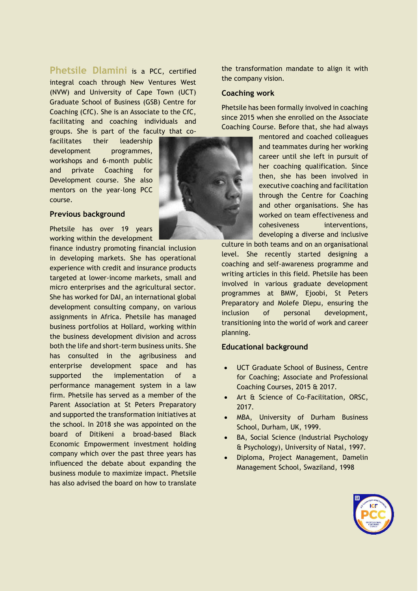**Phetsile Dlamini** is a PCC, certified integral coach through New Ventures West (NVW) and University of Cape Town (UCT) Graduate School of Business (GSB) Centre for Coaching (CfC). She is an Associate to the CfC, facilitating and coaching individuals and groups. She is part of the faculty that co-

facilitates their leadership development programmes, workshops and 6-month public and private Coaching for Development course. She also mentors on the year-long PCC course.

#### **Previous background**

Phetsile has over 19 years working within the development

finance industry promoting financial inclusion in developing markets. She has operational experience with credit and insurance products targeted at lower-income markets, small and micro enterprises and the agricultural sector. She has worked for DAI, an international global development consulting company, on various assignments in Africa. Phetsile has managed business portfolios at Hollard, working within the business development division and across both the life and short-term business units. She has consulted in the agribusiness and enterprise development space and has supported the implementation of a performance management system in a law firm. Phetsile has served as a member of the Parent Association at St Peters Preparatory and supported the transformation initiatives at the school. In 2018 she was appointed on the board of Ditikeni a broad-based Black Economic Empowerment investment holding company which over the past three years has influenced the debate about expanding the business module to maximize impact. Phetsile has also advised the board on how to translate



the transformation mandate to align it with the company vision.

#### **Coaching work**

Phetsile has been formally involved in coaching since 2015 when she enrolled on the Associate Coaching Course. Before that, she had always

> mentored and coached colleagues and teammates during her working career until she left in pursuit of her coaching qualification. Since then, she has been involved in executive coaching and facilitation through the Centre for Coaching and other organisations. She has worked on team effectiveness and cohesiveness interventions, developing a diverse and inclusive

culture in both teams and on an organisational level. She recently started designing a coaching and self-awareness programme and writing articles in this field. Phetsile has been involved in various graduate development programmes at BMW, Ejoobi, St Peters Preparatory and Molefe Dlepu, ensuring the inclusion of personal development, transitioning into the world of work and career planning.

#### **Educational background**

- UCT Graduate School of Business, Centre for Coaching; Associate and Professional Coaching Courses, 2015 & 2017.
- Art & Science of Co-Facilitation, ORSC, 2017.
- MBA, University of Durham Business School, Durham, UK, 1999.
- BA, Social Science (Industrial Psychology & Psychology), University of Natal, 1997.
- Diploma, Project Management, Damelin Management School, Swaziland, 1998

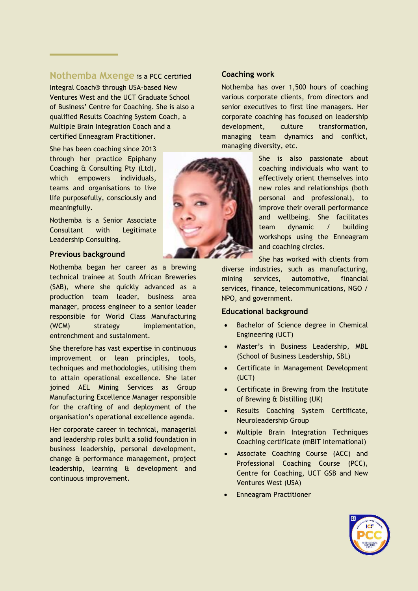### **Nothemba Mxenge** is a PCC certified

Integral Coach® through USA-based New Ventures West and the UCT Graduate School of Business' Centre for Coaching. She is also a qualified Results Coaching System Coach, a Multiple Brain Integration Coach and a certified Enneagram Practitioner.

She has been coaching since 2013 through her practice Epiphany Coaching & Consulting Pty (Ltd), which empowers individuals, teams and organisations to live life purposefully, consciously and meaningfully.

Nothemba is a Senior Associate Consultant with Legitimate Leadership Consulting.

#### **Previous background**

Nothemba began her career as a brewing technical trainee at South African Breweries (SAB), where she quickly advanced as a production team leader, business area manager, process engineer to a senior leader responsible for World Class Manufacturing (WCM) strategy implementation, entrenchment and sustainment.

She therefore has vast expertise in continuous improvement or lean principles, tools, techniques and methodologies, utilising them to attain operational excellence. She later joined AEL Mining Services as Group Manufacturing Excellence Manager responsible for the crafting of and deployment of the organisation's operational excellence agenda.

Her corporate career in technical, managerial and leadership roles built a solid foundation in business leadership, personal development, change & performance management, project leadership, learning & development and continuous improvement.

#### **Coaching work**

Nothemba has over 1,500 hours of coaching various corporate clients, from directors and senior executives to first line managers. Her corporate coaching has focused on leadership development, culture transformation, managing team dynamics and conflict, managing diversity, etc.

> She is also passionate about coaching individuals who want to effectively orient themselves into new roles and relationships (both personal and professional), to improve their overall performance and wellbeing. She facilitates team dynamic / building workshops using the Enneagram and coaching circles.

She has worked with clients from diverse industries, such as manufacturing, mining services, automotive, financial services, finance, telecommunications, NGO / NPO, and government.

#### **Educational background**

- Bachelor of Science degree in Chemical Engineering (UCT)
- Master's in Business Leadership, MBL (School of Business Leadership, SBL)
- Certificate in Management Development (UCT)
- Certificate in Brewing from the Institute of Brewing & Distilling (UK)
- Results Coaching System Certificate, Neuroleadership Group
- Multiple Brain Integration Techniques Coaching certificate (mBIT International)
- Associate Coaching Course (ACC) and Professional Coaching Course (PCC), Centre for Coaching, UCT GSB and New Ventures West (USA)
- Enneagram Practitioner



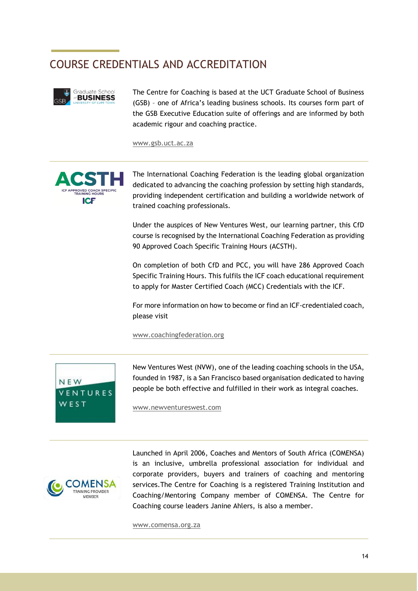# COURSE CREDENTIALS AND ACCREDITATION



The Centre for Coaching is based at the UCT Graduate School of Business (GSB) – one of Africa's leading business schools. Its courses form part of the GSB Executive Education suite of offerings and are informed by both academic rigour and coaching practice.

[www.gsb.uct.ac.za](file:///D:/Documents/Clients/Centre%20for%20Coaching/NV1514%20-%2023.10.20%20-%20CfD%20brochure%20in%20Word/www.gsb.uct.ac.za) 



The International Coaching Federation is the leading global organization dedicated to advancing the coaching profession by setting high standards, providing independent certification and building a worldwide network of trained coaching professionals.

Under the auspices of New Ventures West, our learning partner, this CfD course is recognised by the International Coaching Federation as providing 90 Approved Coach Specific Training Hours (ACSTH).

On completion of both CfD and PCC, you will have 286 Approved Coach Specific Training Hours. This fulfils the ICF coach educational requirement to apply for Master Certified Coach (MCC) Credentials with the ICF.

For more information on how to become or find an ICF-credentialed coach, please visit

[www.coachingfederation.org](http://www.coachingfederation.org/) 



New Ventures West (NVW), one of the leading coaching schools in the USA, founded in 1987, is a San Francisco based organisation dedicated to having people be both effective and fulfilled in their work as integral coaches.

[www.newventureswest.com](http://www.newventureswest.com/)



Launched in April 2006, Coaches and Mentors of South Africa (COMENSA) is an inclusive, umbrella professional association for individual and corporate providers, buyers and trainers of coaching and mentoring services.The Centre for Coaching is a registered Training Institution and Coaching/Mentoring Company member of COMENSA. The Centre for Coaching course leaders Janine Ahlers, is also a member.

[www.comensa.org.za](file:///D:/Documents/Clients/Centre%20for%20Coaching/NV1514%20-%2023.10.20%20-%20CfD%20brochure%20in%20Word/www.comensa.org.za)